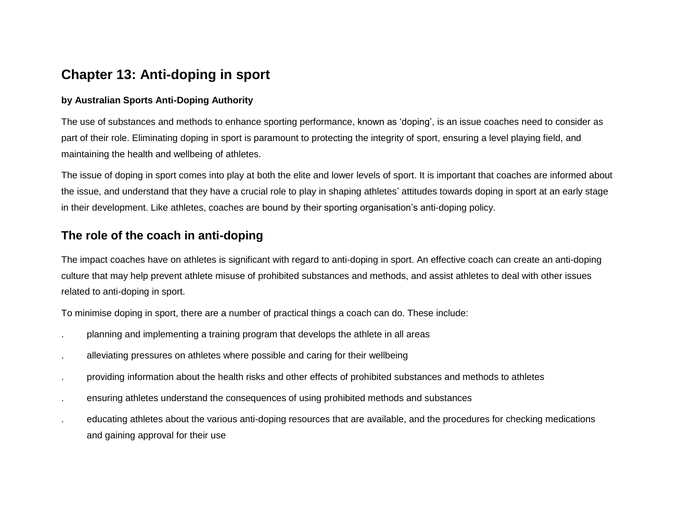## **Chapter 13: Anti-doping in sport**

#### **by Australian Sports Anti-Doping Authority**

The use of substances and methods to enhance sporting performance, known as 'doping', is an issue coaches need to consider as part of their role. Eliminating doping in sport is paramount to protecting the integrity of sport, ensuring a level playing field, and maintaining the health and wellbeing of athletes.

The issue of doping in sport comes into play at both the elite and lower levels of sport. It is important that coaches are informed about the issue, and understand that they have a crucial role to play in shaping athletes' attitudes towards doping in sport at an early stage in their development. Like athletes, coaches are bound by their sporting organisation's anti-doping policy.

## **The role of the coach in anti-doping**

The impact coaches have on athletes is significant with regard to anti-doping in sport. An effective coach can create an anti-doping culture that may help prevent athlete misuse of prohibited substances and methods, and assist athletes to deal with other issues related to anti-doping in sport.

To minimise doping in sport, there are a number of practical things a coach can do. These include:

- . planning and implementing a training program that develops the athlete in all areas
- . alleviating pressures on athletes where possible and caring for their wellbeing
- . providing information about the health risks and other effects of prohibited substances and methods to athletes
- . ensuring athletes understand the consequences of using prohibited methods and substances
- . educating athletes about the various anti-doping resources that are available, and the procedures for checking medications and gaining approval for their use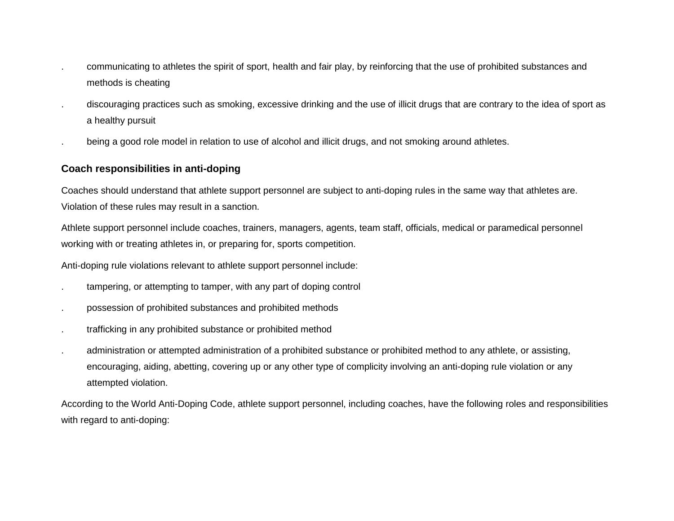- . communicating to athletes the spirit of sport, health and fair play, by reinforcing that the use of prohibited substances and methods is cheating
- . discouraging practices such as smoking, excessive drinking and the use of illicit drugs that are contrary to the idea of sport as a healthy pursuit
- . being a good role model in relation to use of alcohol and illicit drugs, and not smoking around athletes.

#### **Coach responsibilities in anti-doping**

Coaches should understand that athlete support personnel are subject to anti-doping rules in the same way that athletes are. Violation of these rules may result in a sanction.

Athlete support personnel include coaches, trainers, managers, agents, team staff, officials, medical or paramedical personnel working with or treating athletes in, or preparing for, sports competition.

Anti-doping rule violations relevant to athlete support personnel include:

- tampering, or attempting to tamper, with any part of doping control
- . possession of prohibited substances and prohibited methods
- . trafficking in any prohibited substance or prohibited method
- . administration or attempted administration of a prohibited substance or prohibited method to any athlete, or assisting, encouraging, aiding, abetting, covering up or any other type of complicity involving an anti-doping rule violation or any attempted violation.

According to the World Anti-Doping Code, athlete support personnel, including coaches, have the following roles and responsibilities with regard to anti-doping: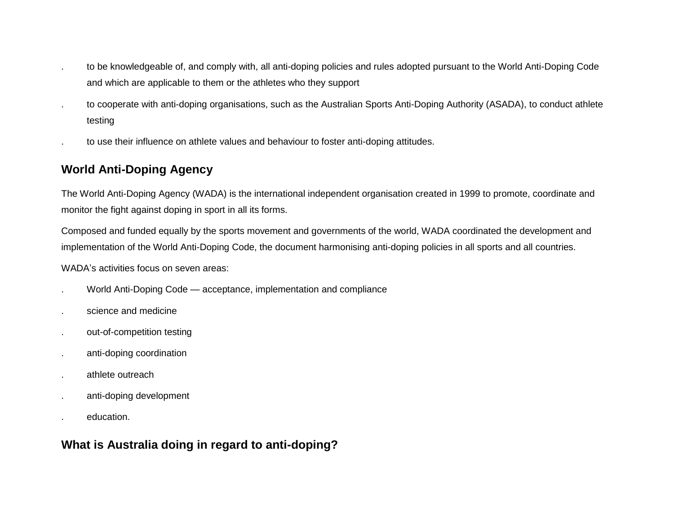- . to be knowledgeable of, and comply with, all anti-doping policies and rules adopted pursuant to the World Anti-Doping Code and which are applicable to them or the athletes who they support
- . to cooperate with anti-doping organisations, such as the Australian Sports Anti-Doping Authority (ASADA), to conduct athlete testing
- . to use their influence on athlete values and behaviour to foster anti-doping attitudes.

## **World Anti-Doping Agency**

The World Anti-Doping Agency (WADA) is the international independent organisation created in 1999 to promote, coordinate and monitor the fight against doping in sport in all its forms.

Composed and funded equally by the sports movement and governments of the world, WADA coordinated the development and implementation of the World Anti-Doping Code, the document harmonising anti-doping policies in all sports and all countries.

WADA's activities focus on seven areas:

- . World Anti-Doping Code acceptance, implementation and compliance
- . science and medicine
- . out-of-competition testing
- . anti-doping coordination
- . athlete outreach
- . anti-doping development
- . education.

## **What is Australia doing in regard to anti-doping?**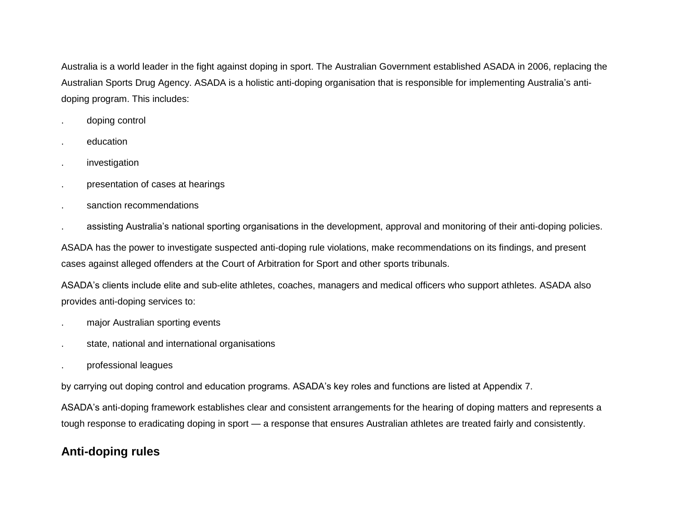Australia is a world leader in the fight against doping in sport. The Australian Government established ASADA in 2006, replacing the Australian Sports Drug Agency. ASADA is a holistic anti-doping organisation that is responsible for implementing Australia's antidoping program. This includes:

- . doping control
- . education
- . investigation
- . presentation of cases at hearings
- . sanction recommendations
- . assisting Australia's national sporting organisations in the development, approval and monitoring of their anti-doping policies.

ASADA has the power to investigate suspected anti-doping rule violations, make recommendations on its findings, and present cases against alleged offenders at the Court of Arbitration for Sport and other sports tribunals.

ASADA's clients include elite and sub-elite athletes, coaches, managers and medical officers who support athletes. ASADA also provides anti-doping services to:

- . major Australian sporting events
- state, national and international organisations
- . professional leagues

by carrying out doping control and education programs. ASADA's key roles and functions are listed at Appendix 7.

ASADA's anti-doping framework establishes clear and consistent arrangements for the hearing of doping matters and represents a tough response to eradicating doping in sport — a response that ensures Australian athletes are treated fairly and consistently.

## **Anti-doping rules**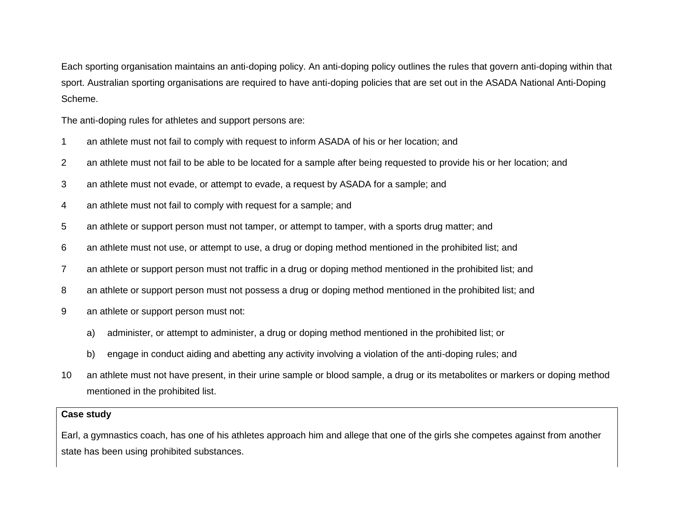Each sporting organisation maintains an anti-doping policy. An anti-doping policy outlines the rules that govern anti-doping within that sport. Australian sporting organisations are required to have anti-doping policies that are set out in the ASADA National Anti-Doping Scheme.

The anti-doping rules for athletes and support persons are:

- 1 an athlete must not fail to comply with request to inform ASADA of his or her location; and
- 2 an athlete must not fail to be able to be located for a sample after being requested to provide his or her location; and
- 3 an athlete must not evade, or attempt to evade, a request by ASADA for a sample; and
- 4 an athlete must not fail to comply with request for a sample; and
- 5 an athlete or support person must not tamper, or attempt to tamper, with a sports drug matter; and
- 6 an athlete must not use, or attempt to use, a drug or doping method mentioned in the prohibited list; and
- 7 an athlete or support person must not traffic in a drug or doping method mentioned in the prohibited list; and
- 8 an athlete or support person must not possess a drug or doping method mentioned in the prohibited list; and
- 9 an athlete or support person must not:
	- a) administer, or attempt to administer, a drug or doping method mentioned in the prohibited list; or
	- b) engage in conduct aiding and abetting any activity involving a violation of the anti-doping rules; and
- 10 an athlete must not have present, in their urine sample or blood sample, a drug or its metabolites or markers or doping method mentioned in the prohibited list.

#### **Case study**

Earl, a gymnastics coach, has one of his athletes approach him and allege that one of the girls she competes against from another state has been using prohibited substances.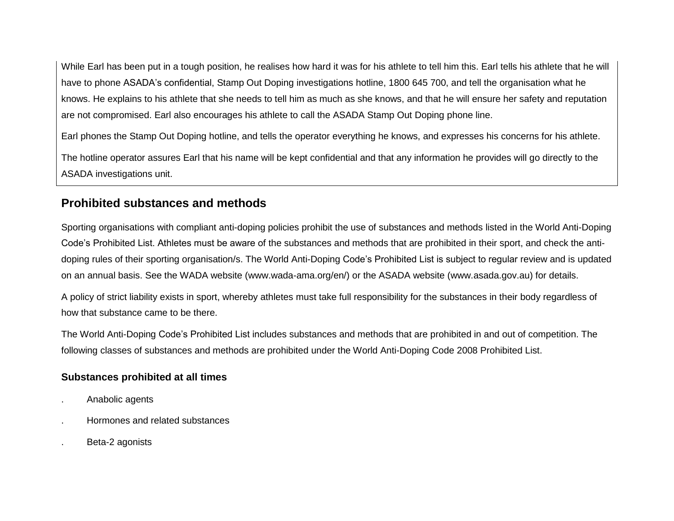While Earl has been put in a tough position, he realises how hard it was for his athlete to tell him this. Earl tells his athlete that he will have to phone ASADA's confidential, Stamp Out Doping investigations hotline, 1800 645 700, and tell the organisation what he knows. He explains to his athlete that she needs to tell him as much as she knows, and that he will ensure her safety and reputation are not compromised. Earl also encourages his athlete to call the ASADA Stamp Out Doping phone line.

Earl phones the Stamp Out Doping hotline, and tells the operator everything he knows, and expresses his concerns for his athlete.

The hotline operator assures Earl that his name will be kept confidential and that any information he provides will go directly to the ASADA investigations unit.

## **Prohibited substances and methods**

Sporting organisations with compliant anti-doping policies prohibit the use of substances and methods listed in the World Anti-Doping Code's Prohibited List. Athletes must be aware of the substances and methods that are prohibited in their sport, and check the antidoping rules of their sporting organisation/s. The World Anti-Doping Code's Prohibited List is subject to regular review and is updated on an annual basis. See the WADA website (www.wada-ama.org/en/) or the ASADA website (www.asada.gov.au) for details.

A policy of strict liability exists in sport, whereby athletes must take full responsibility for the substances in their body regardless of how that substance came to be there.

The World Anti-Doping Code's Prohibited List includes substances and methods that are prohibited in and out of competition. The following classes of substances and methods are prohibited under the World Anti-Doping Code 2008 Prohibited List.

#### **Substances prohibited at all times**

- . Anabolic agents
- . Hormones and related substances
- . Beta-2 agonists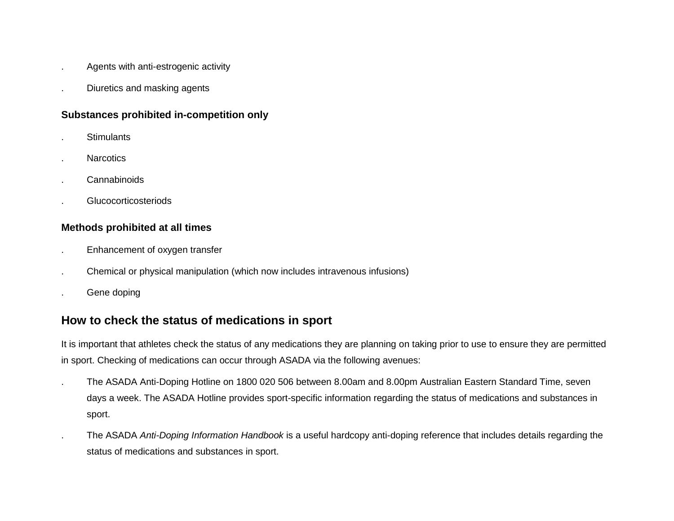- . Agents with anti-estrogenic activity
- . Diuretics and masking agents

#### **Substances prohibited in-competition only**

- . Stimulants
- . Narcotics
- . Cannabinoids
- . Glucocorticosteriods

#### **Methods prohibited at all times**

- . Enhancement of oxygen transfer
- . Chemical or physical manipulation (which now includes intravenous infusions)
- . Gene doping

## **How to check the status of medications in sport**

It is important that athletes check the status of any medications they are planning on taking prior to use to ensure they are permitted in sport. Checking of medications can occur through ASADA via the following avenues:

- . The ASADA Anti-Doping Hotline on 1800 020 506 between 8.00am and 8.00pm Australian Eastern Standard Time, seven days a week. The ASADA Hotline provides sport-specific information regarding the status of medications and substances in sport.
- . The ASADA *Anti-Doping Information Handbook* is a useful hardcopy anti-doping reference that includes details regarding the status of medications and substances in sport.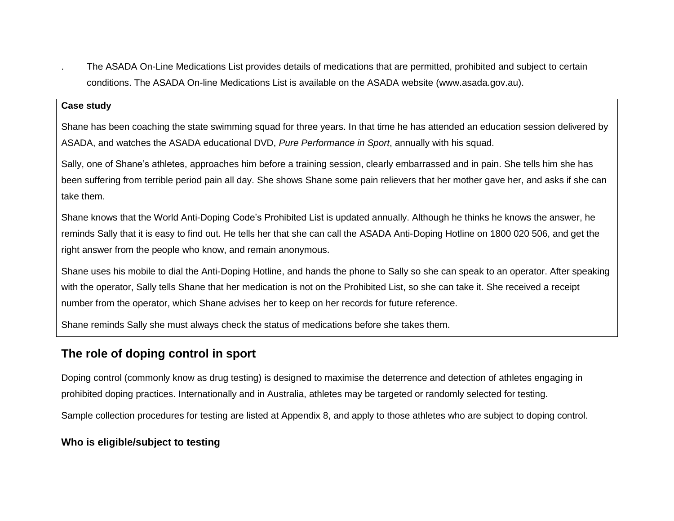. The ASADA On-Line Medications List provides details of medications that are permitted, prohibited and subject to certain conditions. The ASADA On-line Medications List is available on the ASADA website (www.asada.gov.au).

#### **Case study**

Shane has been coaching the state swimming squad for three years. In that time he has attended an education session delivered by ASADA, and watches the ASADA educational DVD, *Pure Performance in Sport*, annually with his squad.

Sally, one of Shane's athletes, approaches him before a training session, clearly embarrassed and in pain. She tells him she has been suffering from terrible period pain all day. She shows Shane some pain relievers that her mother gave her, and asks if she can take them.

Shane knows that the World Anti-Doping Code's Prohibited List is updated annually. Although he thinks he knows the answer, he reminds Sally that it is easy to find out. He tells her that she can call the ASADA Anti-Doping Hotline on 1800 020 506, and get the right answer from the people who know, and remain anonymous.

Shane uses his mobile to dial the Anti-Doping Hotline, and hands the phone to Sally so she can speak to an operator. After speaking with the operator, Sally tells Shane that her medication is not on the Prohibited List, so she can take it. She received a receipt number from the operator, which Shane advises her to keep on her records for future reference.

Shane reminds Sally she must always check the status of medications before she takes them.

## **The role of doping control in sport**

Doping control (commonly know as drug testing) is designed to maximise the deterrence and detection of athletes engaging in prohibited doping practices. Internationally and in Australia, athletes may be targeted or randomly selected for testing.

Sample collection procedures for testing are listed at Appendix 8, and apply to those athletes who are subject to doping control.

#### **Who is eligible/subject to testing**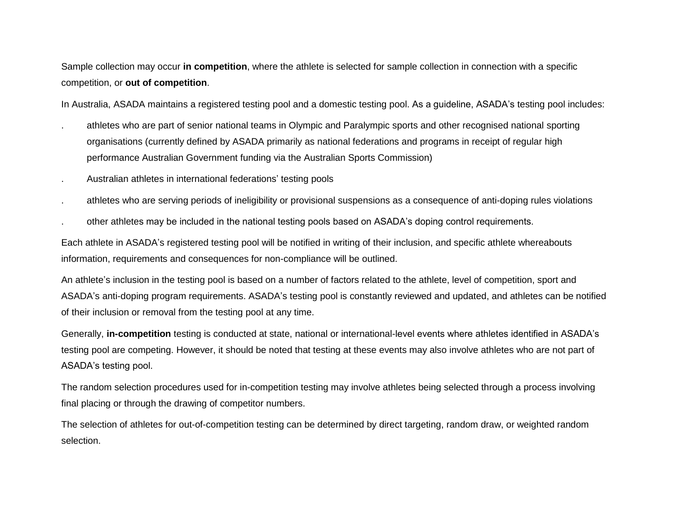Sample collection may occur **in competition**, where the athlete is selected for sample collection in connection with a specific competition, or **out of competition**.

In Australia, ASADA maintains a registered testing pool and a domestic testing pool. As a guideline, ASADA's testing pool includes:

- . athletes who are part of senior national teams in Olympic and Paralympic sports and other recognised national sporting organisations (currently defined by ASADA primarily as national federations and programs in receipt of regular high performance Australian Government funding via the Australian Sports Commission)
- . Australian athletes in international federations' testing pools
- . athletes who are serving periods of ineligibility or provisional suspensions as a consequence of anti-doping rules violations
- . other athletes may be included in the national testing pools based on ASADA's doping control requirements.

Each athlete in ASADA's registered testing pool will be notified in writing of their inclusion, and specific athlete whereabouts information, requirements and consequences for non-compliance will be outlined.

An athlete's inclusion in the testing pool is based on a number of factors related to the athlete, level of competition, sport and ASADA's anti-doping program requirements. ASADA's testing pool is constantly reviewed and updated, and athletes can be notified of their inclusion or removal from the testing pool at any time.

Generally, **in-competition** testing is conducted at state, national or international-level events where athletes identified in ASADA's testing pool are competing. However, it should be noted that testing at these events may also involve athletes who are not part of ASADA's testing pool.

The random selection procedures used for in-competition testing may involve athletes being selected through a process involving final placing or through the drawing of competitor numbers.

The selection of athletes for out-of-competition testing can be determined by direct targeting, random draw, or weighted random selection.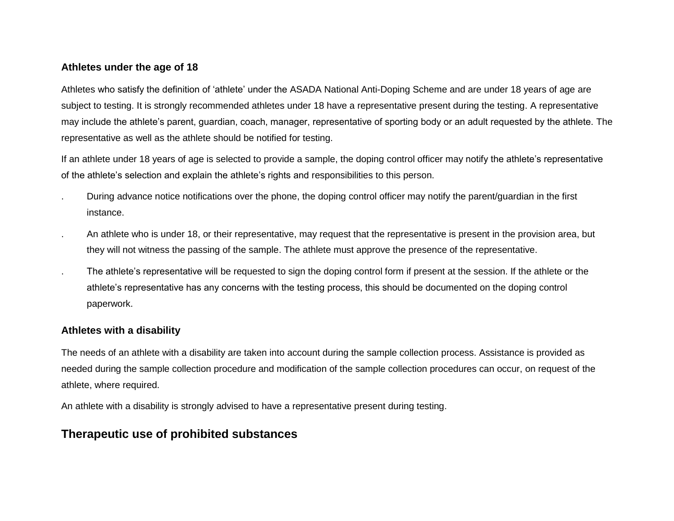#### **Athletes under the age of 18**

Athletes who satisfy the definition of 'athlete' under the ASADA National Anti-Doping Scheme and are under 18 years of age are subject to testing. It is strongly recommended athletes under 18 have a representative present during the testing. A representative may include the athlete's parent, guardian, coach, manager, representative of sporting body or an adult requested by the athlete. The representative as well as the athlete should be notified for testing.

If an athlete under 18 years of age is selected to provide a sample, the doping control officer may notify the athlete's representative of the athlete's selection and explain the athlete's rights and responsibilities to this person.

- . During advance notice notifications over the phone, the doping control officer may notify the parent/guardian in the first instance.
- . An athlete who is under 18, or their representative, may request that the representative is present in the provision area, but they will not witness the passing of the sample. The athlete must approve the presence of the representative.
- . The athlete's representative will be requested to sign the doping control form if present at the session. If the athlete or the athlete's representative has any concerns with the testing process, this should be documented on the doping control paperwork.

#### **Athletes with a disability**

The needs of an athlete with a disability are taken into account during the sample collection process. Assistance is provided as needed during the sample collection procedure and modification of the sample collection procedures can occur, on request of the athlete, where required.

An athlete with a disability is strongly advised to have a representative present during testing.

## **Therapeutic use of prohibited substances**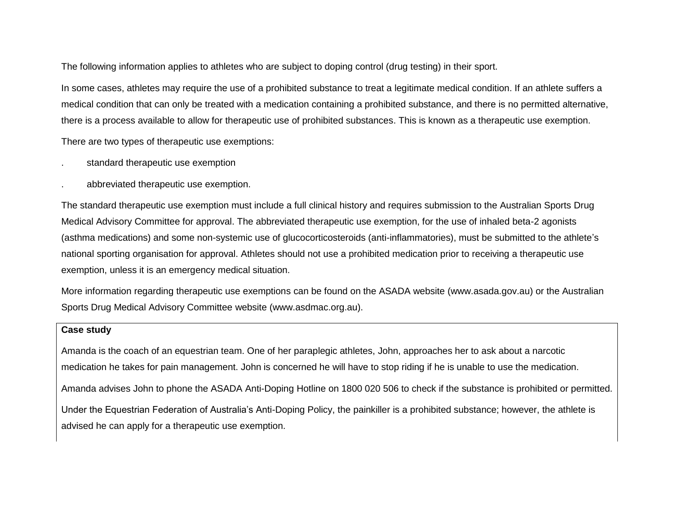The following information applies to athletes who are subject to doping control (drug testing) in their sport.

In some cases, athletes may require the use of a prohibited substance to treat a legitimate medical condition. If an athlete suffers a medical condition that can only be treated with a medication containing a prohibited substance, and there is no permitted alternative, there is a process available to allow for therapeutic use of prohibited substances. This is known as a therapeutic use exemption.

There are two types of therapeutic use exemptions:

- . standard therapeutic use exemption
- . abbreviated therapeutic use exemption.

The standard therapeutic use exemption must include a full clinical history and requires submission to the Australian Sports Drug Medical Advisory Committee for approval. The abbreviated therapeutic use exemption, for the use of inhaled beta-2 agonists (asthma medications) and some non-systemic use of glucocorticosteroids (anti-inflammatories), must be submitted to the athlete's national sporting organisation for approval. Athletes should not use a prohibited medication prior to receiving a therapeutic use exemption, unless it is an emergency medical situation.

More information regarding therapeutic use exemptions can be found on the ASADA website (www[.asada.gov.au\)](http://www.asada.gov.au/) or the Australian Sports Drug Medical Advisory Committee website (www[.asdmac.org.au\)](http://www.asdmac.org.au/).

#### **Case study**

Amanda is the coach of an equestrian team. One of her paraplegic athletes, John, approaches her to ask about a narcotic medication he takes for pain management. John is concerned he will have to stop riding if he is unable to use the medication. Amanda advises John to phone the ASADA Anti-Doping Hotline on 1800 020 506 to check if the substance is prohibited or permitted. Under the Equestrian Federation of Australia's Anti-Doping Policy, the painkiller is a prohibited substance; however, the athlete is advised he can apply for a therapeutic use exemption.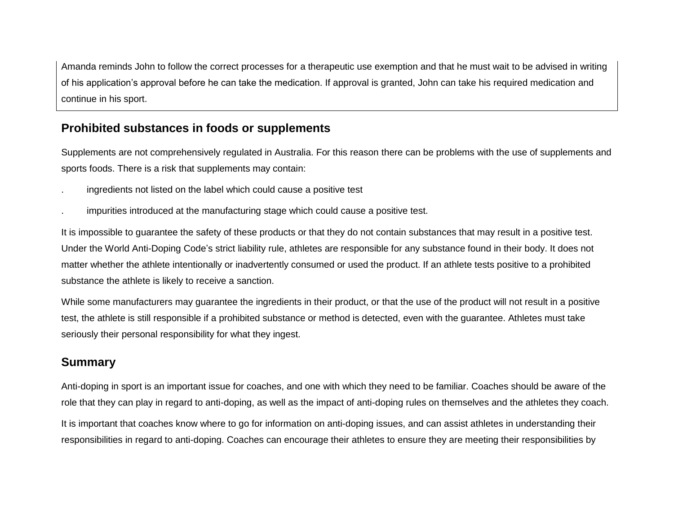Amanda reminds John to follow the correct processes for a therapeutic use exemption and that he must wait to be advised in writing of his application's approval before he can take the medication. If approval is granted, John can take his required medication and continue in his sport.

### **Prohibited substances in foods or supplements**

Supplements are not comprehensively regulated in Australia. For this reason there can be problems with the use of supplements and sports foods. There is a risk that supplements may contain:

- . ingredients not listed on the label which could cause a positive test
- . impurities introduced at the manufacturing stage which could cause a positive test.

It is impossible to guarantee the safety of these products or that they do not contain substances that may result in a positive test. Under the World Anti-Doping Code's strict liability rule, athletes are responsible for any substance found in their body. It does not matter whether the athlete intentionally or inadvertently consumed or used the product. If an athlete tests positive to a prohibited substance the athlete is likely to receive a sanction.

While some manufacturers may guarantee the ingredients in their product, or that the use of the product will not result in a positive test, the athlete is still responsible if a prohibited substance or method is detected, even with the guarantee. Athletes must take seriously their personal responsibility for what they ingest.

## **Summary**

Anti-doping in sport is an important issue for coaches, and one with which they need to be familiar. Coaches should be aware of the role that they can play in regard to anti-doping, as well as the impact of anti-doping rules on themselves and the athletes they coach.

It is important that coaches know where to go for information on anti-doping issues, and can assist athletes in understanding their responsibilities in regard to anti-doping. Coaches can encourage their athletes to ensure they are meeting their responsibilities by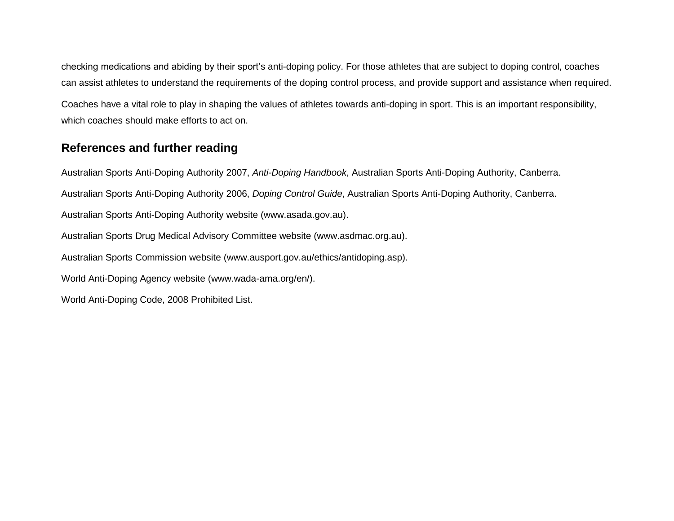checking medications and abiding by their sport's anti-doping policy. For those athletes that are subject to doping control, coaches can assist athletes to understand the requirements of the doping control process, and provide support and assistance when required. Coaches have a vital role to play in shaping the values of athletes towards anti-doping in sport. This is an important responsibility, which coaches should make efforts to act on.

## **References and further reading**

Australian Sports Anti-Doping Authority 2007, *Anti-Doping Handbook*, Australian Sports Anti-Doping Authority, Canberra. Australian Sports Anti-Doping Authority 2006, *Doping Control Guide*, Australian Sports Anti-Doping Authority, Canberra. Australian Sports Anti-Doping Authority website (www.asada.gov.au). Australian Sports Drug Medical Advisory Committee website (www.asdmac.org.au). Australian Sports Commission website (www.ausport.gov.au/ethics/antidoping.asp). World Anti-Doping Agency website (www.wada-ama.org/en/). World Anti-Doping Code, 2008 Prohibited List.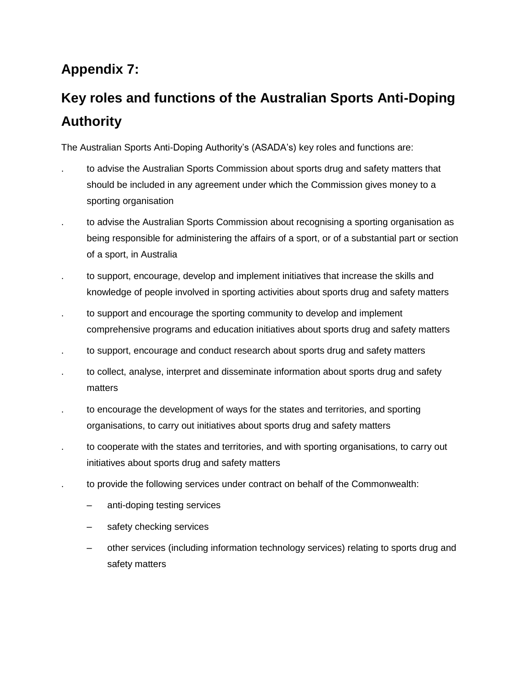## **Appendix 7:**

# **Key roles and functions of the Australian Sports Anti-Doping Authority**

The Australian Sports Anti-Doping Authority's (ASADA's) key roles and functions are:

- . to advise the Australian Sports Commission about sports drug and safety matters that should be included in any agreement under which the Commission gives money to a sporting organisation
- . to advise the Australian Sports Commission about recognising a sporting organisation as being responsible for administering the affairs of a sport, or of a substantial part or section of a sport, in Australia
- . to support, encourage, develop and implement initiatives that increase the skills and knowledge of people involved in sporting activities about sports drug and safety matters
- to support and encourage the sporting community to develop and implement comprehensive programs and education initiatives about sports drug and safety matters
- . to support, encourage and conduct research about sports drug and safety matters
- to collect, analyse, interpret and disseminate information about sports drug and safety matters
- . to encourage the development of ways for the states and territories, and sporting organisations, to carry out initiatives about sports drug and safety matters
- . to cooperate with the states and territories, and with sporting organisations, to carry out initiatives about sports drug and safety matters
- . to provide the following services under contract on behalf of the Commonwealth:
	- anti-doping testing services
	- safety checking services
	- other services (including information technology services) relating to sports drug and safety matters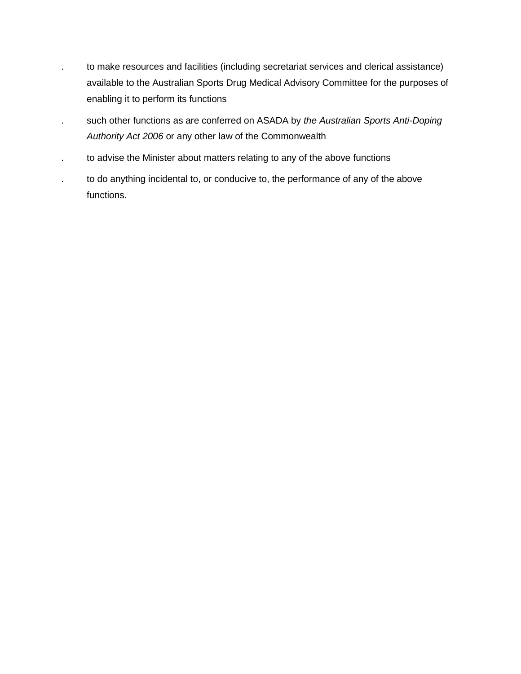- . to make resources and facilities (including secretariat services and clerical assistance) available to the Australian Sports Drug Medical Advisory Committee for the purposes of enabling it to perform its functions
- . such other functions as are conferred on ASADA by *the Australian Sports Anti-Doping Authority Act 2006* or any other law of the Commonwealth
- . to advise the Minister about matters relating to any of the above functions
- . to do anything incidental to, or conducive to, the performance of any of the above functions.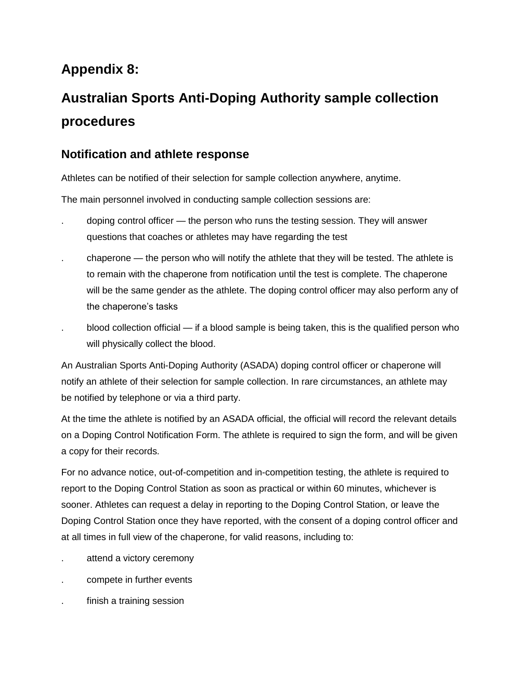## **Appendix 8:**

# **Australian Sports Anti-Doping Authority sample collection procedures**

## **Notification and athlete response**

Athletes can be notified of their selection for sample collection anywhere, anytime.

The main personnel involved in conducting sample collection sessions are:

- . doping control officer the person who runs the testing session. They will answer questions that coaches or athletes may have regarding the test
- . chaperone the person who will notify the athlete that they will be tested. The athlete is to remain with the chaperone from notification until the test is complete. The chaperone will be the same gender as the athlete. The doping control officer may also perform any of the chaperone's tasks
- . blood collection official if a blood sample is being taken, this is the qualified person who will physically collect the blood.

An Australian Sports Anti-Doping Authority (ASADA) doping control officer or chaperone will notify an athlete of their selection for sample collection. In rare circumstances, an athlete may be notified by telephone or via a third party.

At the time the athlete is notified by an ASADA official, the official will record the relevant details on a Doping Control Notification Form. The athlete is required to sign the form, and will be given a copy for their records.

For no advance notice, out-of-competition and in-competition testing, the athlete is required to report to the Doping Control Station as soon as practical or within 60 minutes, whichever is sooner. Athletes can request a delay in reporting to the Doping Control Station, or leave the Doping Control Station once they have reported, with the consent of a doping control officer and at all times in full view of the chaperone, for valid reasons, including to:

- attend a victory ceremony
- . compete in further events
- finish a training session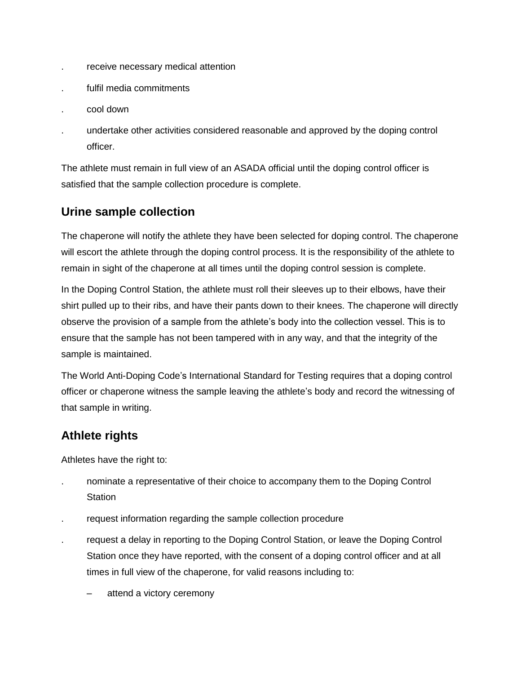- . receive necessary medical attention
- . fulfil media commitments
- . cool down
- . undertake other activities considered reasonable and approved by the doping control officer.

The athlete must remain in full view of an ASADA official until the doping control officer is satisfied that the sample collection procedure is complete.

## **Urine sample collection**

The chaperone will notify the athlete they have been selected for doping control. The chaperone will escort the athlete through the doping control process. It is the responsibility of the athlete to remain in sight of the chaperone at all times until the doping control session is complete.

In the Doping Control Station, the athlete must roll their sleeves up to their elbows, have their shirt pulled up to their ribs, and have their pants down to their knees. The chaperone will directly observe the provision of a sample from the athlete's body into the collection vessel. This is to ensure that the sample has not been tampered with in any way, and that the integrity of the sample is maintained.

The World Anti-Doping Code's International Standard for Testing requires that a doping control officer or chaperone witness the sample leaving the athlete's body and record the witnessing of that sample in writing.

## **Athlete rights**

Athletes have the right to:

- . nominate a representative of their choice to accompany them to the Doping Control **Station**
- . request information regarding the sample collection procedure
- . request a delay in reporting to the Doping Control Station, or leave the Doping Control Station once they have reported, with the consent of a doping control officer and at all times in full view of the chaperone, for valid reasons including to:
	- attend a victory ceremony